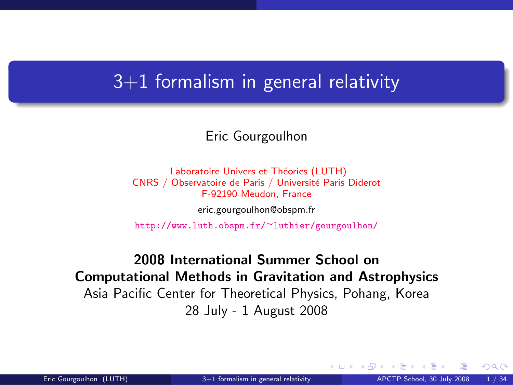#### $3+1$  formalism in general relativity

#### Eric Gourgoulhon

Laboratoire Univers et Théories (LUTH) CNRS / Observatoire de Paris / Université Paris Diderot F-92190 Meudon, France

[eric.gourgoulhon@obspm.fr](mailto:eric.gourgoulhon@obspm.fr)

[http://www.luth.obspm.fr/](http://www.luth.obspm.fr/~luthier/gourgoulhon/)∼luthier/gourgoulhon/

2008 International Summer School on Computational Methods in Gravitation and Astrophysics Asia Pacific Center for Theoretical Physics, Pohang, Korea 28 July - 1 August 2008

<span id="page-0-0"></span> $\Omega$ 

**K ロ ▶ K 何 ▶ K 手**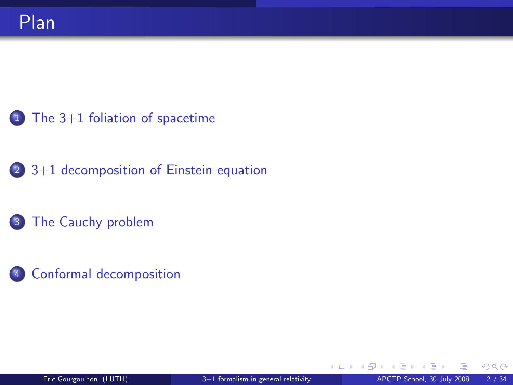- [The 3+1 foliation of spacetime](#page-2-0)
- [3+1 decomposition of Einstein equation](#page-21-0)
- [The Cauchy problem](#page-30-0)
- [Conformal decomposition](#page-36-0)

**← ロ ▶ → イ 同 →**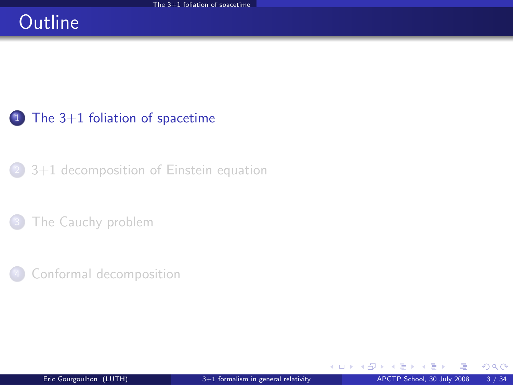## **Outline**

#### $1$  [The 3+1 foliation of spacetime](#page-2-0)

<sup>2</sup> [3+1 decomposition of Einstein equation](#page-21-0)

[The Cauchy problem](#page-30-0)

[Conformal decomposition](#page-36-0)

<span id="page-2-0"></span> $298$ 

э  $\sim$ 

**←ロ ▶ ← イ 同 →**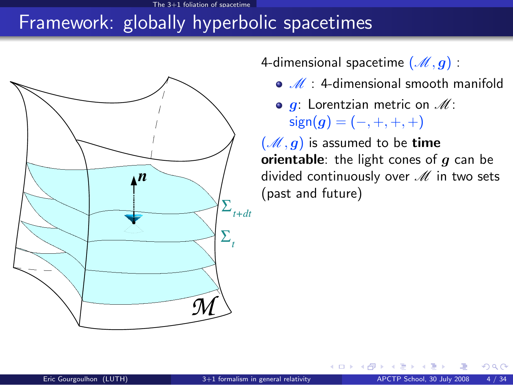## Framework: globally hyperbolic spacetimes



4-dimensional spacetime  $(\mathcal{M}, g)$ :

- $\bullet$   $\mathscr{M}$  : 4-dimensional smooth manifold
- $\bullet$  g: Lorentzian metric on  $\mathscr{M}$ :  $sign(g) = (-, +, +, +)$

**←ロ ▶ ← イ 同 →** 

 $(\mathcal{M}, g)$  is assumed to be time orientable: the light cones of  $q$  can be divided continuously over  $M$  in two sets (past and future)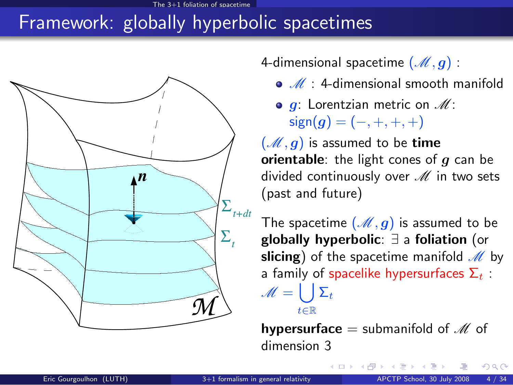#### $3+1$  foliation of sp

# Framework: globally hyperbolic spacetimes



4-dimensional spacetime  $(\mathcal{M}, g)$ :

- $\bullet$   $\mathcal{M}$  : 4-dimensional smooth manifold
- $\bullet$  g: Lorentzian metric on  $\mathscr{M}$ :  $sign(g) = (-, +, +, +)$

 $(\mathcal{M}, g)$  is assumed to be time orientable: the light cones of  $q$  can be divided continuously over  $M$  in two sets (past and future)

The spacetime  $(M, q)$  is assumed to be globally hyperbolic: ∃ a foliation (or slicing) of the spacetime manifold  $M$  by a family of spacelike hypersurfaces  $\Sigma_t$ :  $\mathscr{M} = \left\lfloor \ \right\rfloor \Sigma_t$ t∈R

**hypersurface** = submanifold of  $M$  of dimension 3

**K ロ ⊁ K 倒 ≯ K 差 ≯ K**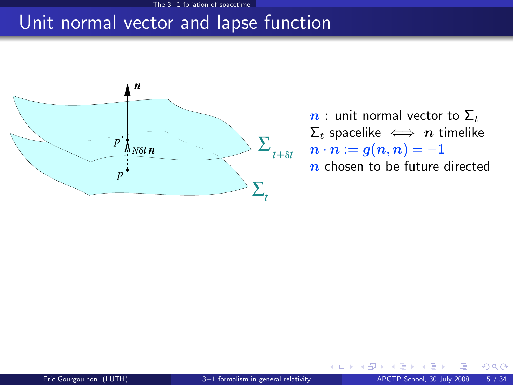#### Unit normal vector and lapse function



 $n:$  unit normal vector to  $\Sigma_t$  $\Sigma_t$  spacelike  $\iff n$  timelike  $n \cdot n := g(n,n) = -1$  $n$  chosen to be future directed

**← ロ ▶ → イ 同 →**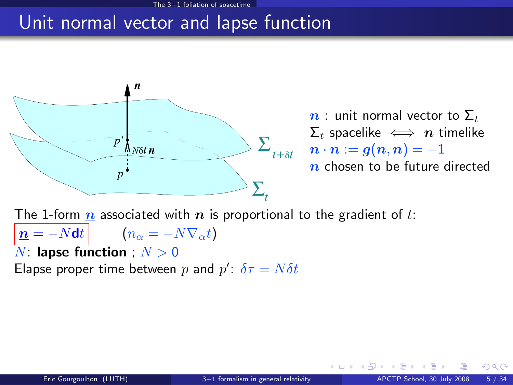#### Unit normal vector and lapse function



 $n:$  unit normal vector to  $\Sigma_t$  $\Sigma_t$  spacelike  $\iff n$  timelike  $n \cdot n := g(n,n) = -1$  $n$  chosen to be future directed

**←ロ ▶ ← イ 同 →** 

The 1-form  $n$  associated with  $n$  is proportional to the gradient of t:  $n = -Ndt$   $(n_{\alpha} = -N\nabla_{\alpha}t)$  $N:$  lapse function ;  $N > 0$ 

Elapse proper time between p and  $p'$ :  $\delta \tau = N \delta t$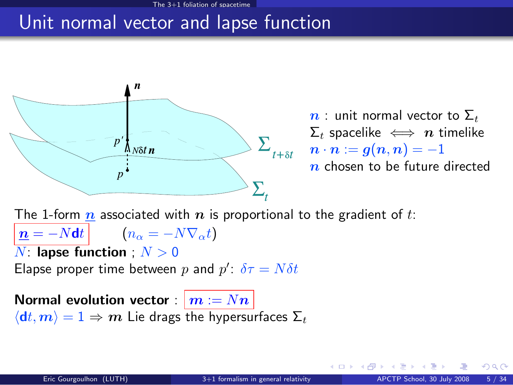#### Unit normal vector and lapse function



 $n:$  unit normal vector to  $\Sigma_t$  $\Sigma_t$  spacelike  $\iff n$  timelike  $n \cdot n := g(n,n) = -1$  $n$  chosen to be future directed

**←ロ ▶ ← イ 同 →** 

The 1-form  $n$  associated with  $n$  is proportional to the gradient of t:  $n = -Ndt$   $(n_{\alpha} = -N\nabla_{\alpha}t)$  $N:$  lapse function ;  $N > 0$ Elapse proper time between p and  $p'$ :  $\delta \tau = N \delta t$ Normal evolution vector :  $\vert m := Nn \vert$ 

 $\langle dt, m \rangle = 1 \Rightarrow m$  Lie drags the hypersurfaces  $\Sigma_t$ 

 $\cap$   $\cap$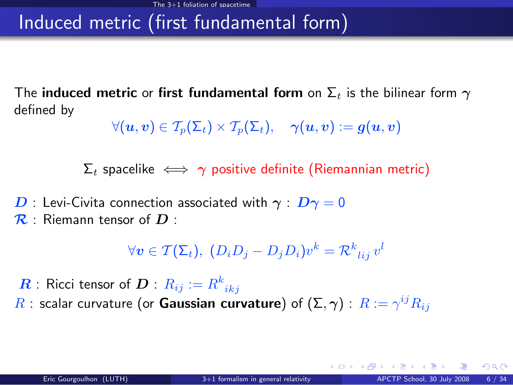# Induced metric (first fundamental form)

The induced metric or first fundamental form on  $\Sigma_t$  is the bilinear form  $\gamma$ defined by

$$
\forall (\boldsymbol{u},\boldsymbol{v})\in \mathcal{T}_p(\boldsymbol{\Sigma}_t)\times \mathcal{T}_p(\boldsymbol{\Sigma}_t),\quad \boldsymbol{\gamma}(\boldsymbol{u},\boldsymbol{v})\vcentcolon=\boldsymbol{g}(\boldsymbol{u},\boldsymbol{v})
$$

 $\Sigma_t$  spacelike  $\iff \gamma$  positive definite (Riemannian metric)

 $\bm{D}$  : Levi-Civita connection associated with  $\bm{\gamma}$  :  $\bm{D}\bm{\gamma}=0$  $\mathcal{R}$  : Riemann tensor of  $D$  :

$$
\forall \mathbf{v} \in \mathcal{T}(\Sigma_t), \ (D_i D_j - D_j D_i) v^k = \mathcal{R}^k_{\ ij} v^l
$$

 $\boldsymbol{R}$  : Ricci tensor of  $\boldsymbol{D}$  :  $R_{ij} := R^k_{\phantom{k}ikj}$  $R$  : scalar curvature (or **Gaussian curvature**) of  $(\Sigma,\boldsymbol{\gamma})$  :  $R:=\gamma^{ij}R_{ij}$ 

 $\cap$   $\cap$ 

**K ロ ト K 何 ト K ヨ ト K**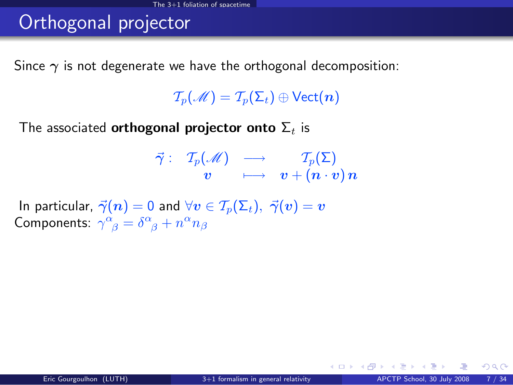# Orthogonal projector

Since  $\gamma$  is not degenerate we have the orthogonal decomposition:

 $\mathcal{T}_p(\mathscr{M}) = \mathcal{T}_p(\Sigma_t) \oplus \mathsf{Vect}(n)$ 

The associated **orthogonal projector onto**  $\Sigma_t$  is

$$
\begin{array}{rrcl}\vec{\gamma} :&\mathcal{T}_p(\mathscr{M})&\longrightarrow&\mathcal{T}_p(\Sigma)\\&\bm{v}&\longmapsto&\bm{v} + (\bm{n}\cdot\bm{v})\,\bm{n}\end{array}
$$

In particular,  $\vec{\gamma}(n) = 0$  and  $\forall v \in \mathcal{T}_p(\Sigma_t), \ \vec{\gamma}(v) = v$ Components:  $\gamma^{\alpha}_{\ \beta} = \delta^{\alpha}_{\ \beta} + n^{\alpha} n_{\beta}$ 

 $\Omega$ 

**K ロ ▶ K 何 ▶ K 手**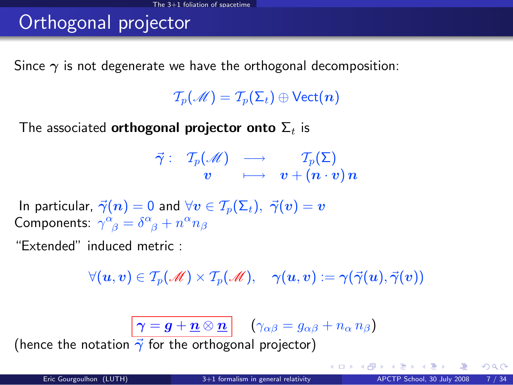# Orthogonal projector

Since  $\gamma$  is not degenerate we have the orthogonal decomposition:

 $\mathcal{T}_p(\mathscr{M}) = \mathcal{T}_p(\Sigma_t) \oplus \mathsf{Vect}(n)$ 

The associated **orthogonal projector onto**  $\Sigma_t$  is

$$
\begin{array}{rrcl}\vec{\gamma} :&\mathcal{T}_p(\mathscr{M})&\longrightarrow&\mathcal{T}_p(\Sigma)\\&\bm{v}&\longmapsto&\bm{v}+( \bm{n}\cdot\bm{v})\,\bm{n}\end{array}
$$

In particular,  $\vec{\gamma}(n) = 0$  and  $\forall v \in \mathcal{T}_n(\Sigma_t), \ \vec{\gamma}(v) = v$ Components:  $\gamma^{\alpha}_{\ \beta} = \delta^{\alpha}_{\ \beta} + n^{\alpha} n_{\beta}$ 

"Extended" induced metric :

 $\forall (u, v) \in T_p(\mathcal{M}) \times T_p(\mathcal{M}), \quad \gamma(u, v) := \gamma(\vec{\gamma}(u), \vec{\gamma}(v))$ 

 $\left|\,\boldsymbol{\gamma}=\boldsymbol{g}+\boldsymbol{\underline{n}}\otimes \boldsymbol{\underline{n}}\,\right| \quad \left(\gamma_{\alpha\beta}=g_{\alpha\beta}+n_\alpha\,n_\beta\right)$ 

(hence the notation  $\vec{\gamma}$  for the orthogonal projector)

 $\Omega$ 

メロメ メ都 メメ ミメ メミメ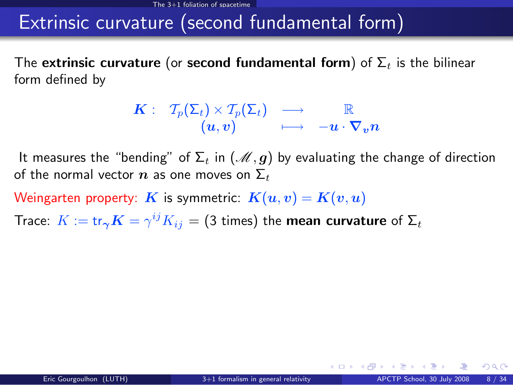#### Extrinsic curvature (second fundamental form)

The extrinsic curvature (or second fundamental form) of  $\Sigma_t$  is the bilinear form defined by

$$
\begin{array}{ccccc}K:&\,\, \mathcal{T}_p(\Sigma_t)\times\mathcal{T}_p(\Sigma_t)&\longrightarrow&\mathbb{R}\\ & (u,v)&\longmapsto& -u\cdot\nabla_vn\end{array}
$$

It measures the "bending" of  $\Sigma_t$  in  $(\mathcal{M}, g)$  by evaluating the change of direction of the normal vector  $n$  as one moves on  $\Sigma_t$ 

Weingarten property: K is symmetric:  $K(u, v) = K(v, u)$ 

Trace:  $K := \text{tr}_{\bm{\gamma}}\bm{K} = \gamma^{ij}K_{ij} = (3 \text{ times})$  the mean curvature of  $\bm{\Sigma}_t$ 

 $\Omega$ 

**K ロ ト K 何 ト K ヨ ト K**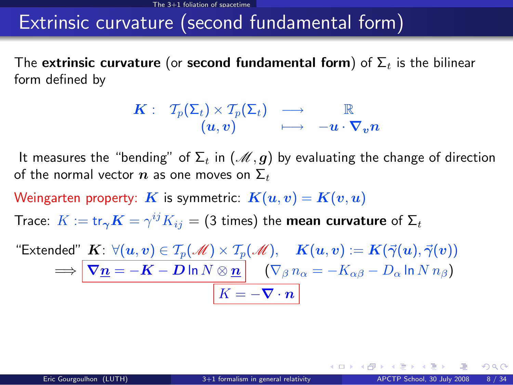#### Extrinsic curvature (second fundamental form)

The extrinsic curvature (or second fundamental form) of  $\Sigma_t$  is the bilinear form defined by

$$
\begin{array}{ccccc}K:&\,\, \mathcal{T}_p(\Sigma_t)\times\mathcal{T}_p(\Sigma_t)&\longrightarrow&\mathbb{R}\\ & (u,v)&\longmapsto& -u\cdot\nabla_vn\end{array}
$$

It measures the "bending" of  $\Sigma_t$  in  $(\mathcal{M}, g)$  by evaluating the change of direction of the normal vector  $n$  as one moves on  $\Sigma_t$ 

Weingarten property: K is symmetric:  $K(u, v) = K(v, u)$ 

Trace:  $K := \text{tr}_{\bm{\gamma}}\bm{K} = \gamma^{ij}K_{ij} = (3 \text{ times})$  the mean curvature of  $\bm{\Sigma}_t$ 

"Extended"  $\textbf{\textit{K}}\colon \forall (u,v) \in \mathcal{T}_p(\mathscr{M}) \times \mathcal{T}_p(\mathscr{M}), \quad \textbf{\textit{K}}(u,v) := \textbf{\textit{K}}(\vec{\gamma}(u), \vec{\gamma}(v))$  $\Longrightarrow \big\vert \, \bm{\nabla} \underline{\bm{n}} = -\bm{K} - \bm{D} \ln N \otimes \underline{\bm{n}} \big\vert \quad \left( \nabla_{\beta} \, n_{\alpha} = - K_{\alpha \beta} - D_{\alpha} \ln N \, n_{\beta} \right)$  $K = -\nabla \cdot \boldsymbol{n}$ 

 $\Omega$ 

メロト メ押 トメミト メミト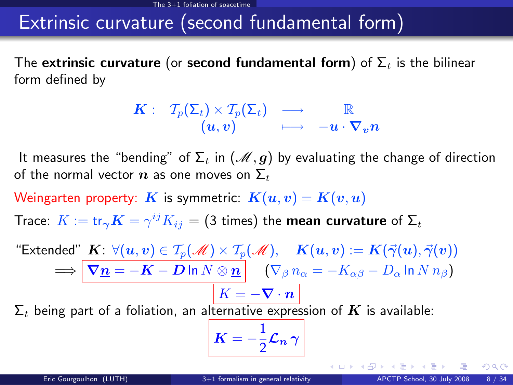#### Extrinsic curvature (second fundamental form)

The extrinsic curvature (or second fundamental form) of  $\Sigma_t$  is the bilinear form defined by

$$
\begin{array}{ccccc}K:&\,\, \mathcal{T}_p(\Sigma_t)\times\mathcal{T}_p(\Sigma_t)&\longrightarrow&\mathbb{R}\\ & (u,v)&\longmapsto& -u\cdot\nabla_vn\end{array}
$$

It measures the "bending" of  $\Sigma_t$  in  $(\mathcal{M}, g)$  by evaluating the change of direction of the normal vector  $n$  as one moves on  $\Sigma_t$ 

Weingarten property: K is symmetric:  $K(u, v) = K(v, u)$ 

Trace:  $K := \text{tr}_{\bm{\gamma}}\bm{K} = \gamma^{ij}K_{ij} = (3 \text{ times})$  the mean curvature of  $\bm{\Sigma}_t$ 

"Extended"  $\textbf{\textit{K}}\colon \forall (u,v) \in \mathcal{T}_p(\mathscr{M}) \times \mathcal{T}_p(\mathscr{M}), \quad \textbf{\textit{K}}(u,v) := \textbf{\textit{K}}(\vec{\gamma}(u), \vec{\gamma}(v))$  $\Rightarrow$   $\nabla \underline{n} = -K - D \ln N \otimes \underline{n}$   $(\nabla_{\beta} n_{\alpha} = -K_{\alpha\beta} - D_{\alpha} \ln N n_{\beta})$  $\boxed{K = -\nabla \cdot \bm{n}}$ 

 $\Sigma_t$  being part of a foliation, an alternative expression of K is available:

$$
\bm{K}=-\frac{1}{2}\bm{\mathcal{L}}_{\bm{n}}\,\bm{\gamma}
$$

 $\Omega$ 

メロト メ何ト メミト メミト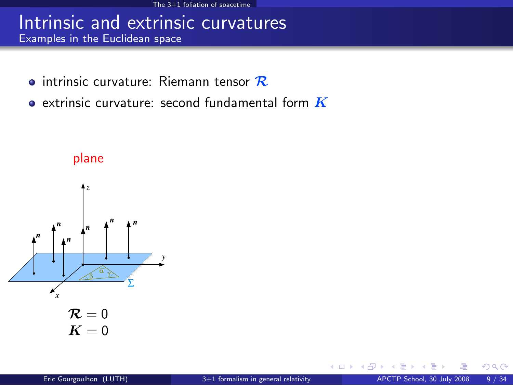#### Intrinsic and extrinsic curvatures Examples in the Euclidean space

- $\bullet$  intrinsic curvature: Riemann tensor  $\mathcal R$
- $\bullet$  extrinsic curvature: second fundamental form  $\boldsymbol{K}$



plane

 $\Omega$ 

**←ロ ▶ ← イ 同 →**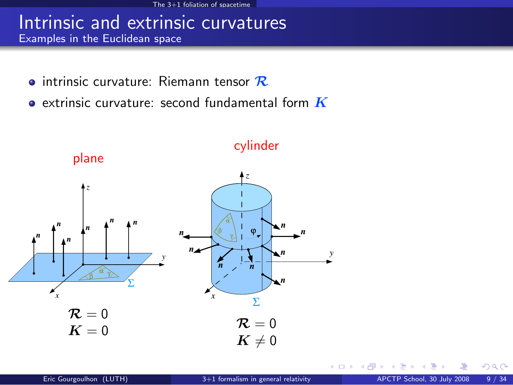#### Intrinsic and extrinsic curvatures Examples in the Euclidean space

- $\bullet$  intrinsic curvature: Riemann tensor  $\mathcal R$
- $\bullet$  extrinsic curvature: second fundamental form  $\boldsymbol{K}$



 $\Omega$ 

**← ロ ▶ → イ 同 →**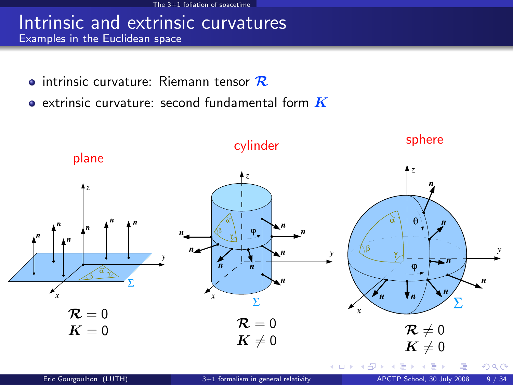#### Intrinsic and extrinsic curvatures Examples in the Euclidean space

- $\bullet$  intrinsic curvature: Riemann tensor  $\mathcal R$
- $\bullet$  extrinsic curvature: second fundamental form  $\boldsymbol{K}$

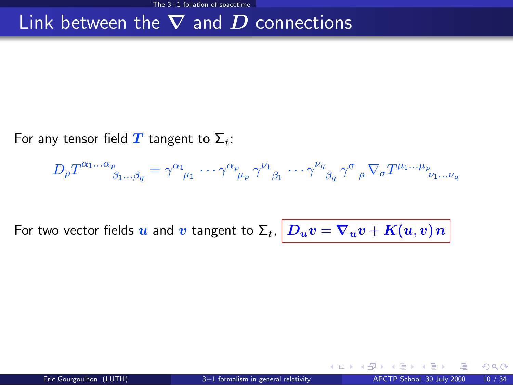#### Link between the  $\nabla$  and  $D$  connections

For any tensor field T tangent to  $\Sigma_t$ :

$$
D_{\rho}T^{\alpha_1...\alpha_p}_{\beta_1...\beta_q} = \gamma^{\alpha_1}_{\mu_1} \cdots \gamma^{\alpha_p}_{\mu_p} \gamma^{\nu_1}_{\beta_1} \cdots \gamma^{\nu_q}_{\beta_q} \gamma^{\sigma}_{\rho} \nabla_{\sigma}T^{\mu_1...\mu_p}_{\nu_1...\nu_q}
$$

For two vector fields  $u$  and  $v$  tangent to  $\Sigma_t, \big| \, D_u v = \nabla_u v + K(u,v) \, n \, \big|$ 

 $\Omega$ 

**←ロ ▶ ← イ 同 →**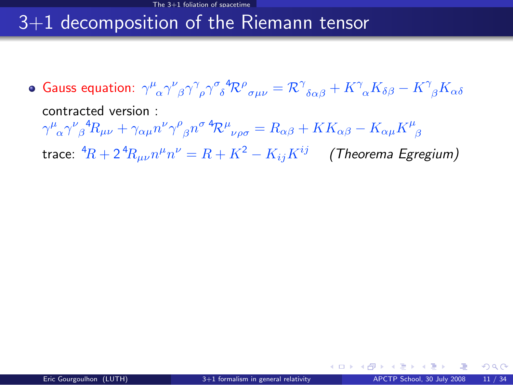## 3+1 decomposition of the Riemann tensor

<span id="page-18-0"></span>Gauss equation:  $\gamma^\mu{}_\alpha\gamma^\nu{}_\beta\gamma^\gamma{}_\rho\gamma^\sigma{}_\delta^4{\cal R}^\rho{}_{\sigma\mu\nu}={\cal R}^\gamma{}_{\delta\alpha\beta}+K^\gamma{}_\alpha K_{\delta\beta}-K^\gamma{}_\beta K_{\alpha\delta}$ contracted version :  $\gamma^\mu{}_\alpha\gamma^\nu{}_\beta{}^4R_{\mu\nu}+\gamma_{\alpha\mu}n^\nu\gamma^\rho{}_\beta n^\sigma\,{}^4\!{\cal R}^\mu{}_{\nu\rho\sigma}=R_{\alpha\beta}+KK_{\alpha\beta}-K_{\alpha\mu}K^\mu{}_\beta$ trace:  ${}^4\! R + 2 {}^4\! R_{\mu\nu} n^\mu n^\nu = R + K^2 - K_{ij} K^{ij} \quad$  (Theorema Egregium)

 $\Omega$ 

**← ロ ▶ → イ 同**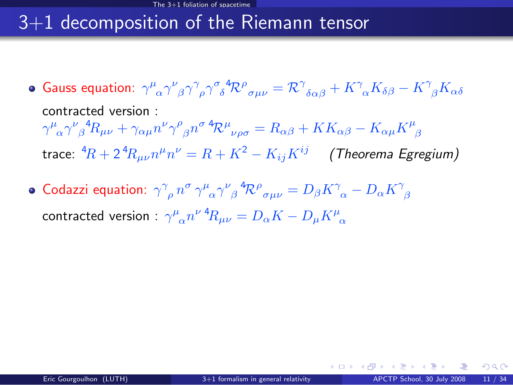### 3+1 decomposition of the Riemann tensor

- Gauss equation:  $\gamma^\mu{}_\alpha\gamma^\nu{}_\beta\gamma^\gamma{}_\rho\gamma^\sigma{}_\delta^4{\cal R}^\rho{}_{\sigma\mu\nu}={\cal R}^\gamma{}_{\delta\alpha\beta}+K^\gamma{}_\alpha K_{\delta\beta}-K^\gamma{}_\beta K_{\alpha\delta}$ contracted version :  $\gamma^\mu{}_\alpha\gamma^\nu{}_\beta{}^4R_{\mu\nu}+\gamma_{\alpha\mu}n^\nu\gamma^\rho{}_\beta n^\sigma\,{}^4\!{\cal R}^\mu{}_{\nu\rho\sigma}=R_{\alpha\beta}+KK_{\alpha\beta}-K_{\alpha\mu}K^\mu{}_\beta$ trace:  ${}^4\! R + 2 {}^4\! R_{\mu\nu} n^\mu n^\nu = R + K^2 - K_{ij} K^{ij} \quad$  (Theorema Egregium)
- Codazzi equation:  $\gamma^\gamma_{\phantom{\gamma}\rho}\,n^\sigma\,\gamma^\mu_{\phantom{\mu}\alpha}\gamma^\nu_{\phantom{\nu}\beta}{}^4\!{\cal R}^\rho_{\phantom{\rho}\sigma\mu\nu}=D_\beta K^\gamma_{\phantom{\gamma}\alpha}-D_\alpha K^\gamma_{\phantom{\gamma}\beta}$ contracted version :  $\gamma^\mu{}_\alpha n^{\nu} \, {}^4\! R_{\mu\nu} = D_\alpha K - D_\mu K^\mu{}_\alpha$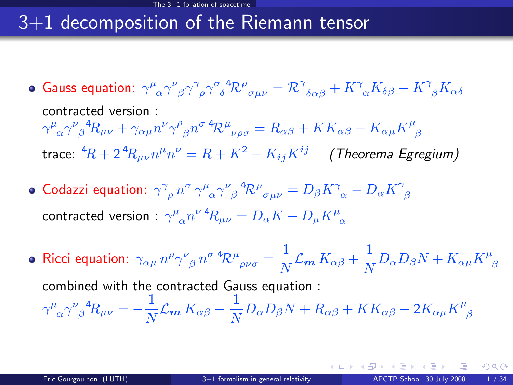## 3+1 decomposition of the Riemann tensor

- Gauss equation:  $\gamma^\mu{}_\alpha\gamma^\nu{}_\beta\gamma^\gamma{}_\rho\gamma^\sigma{}_\delta^4{\cal R}^\rho{}_{\sigma\mu\nu}={\cal R}^\gamma{}_{\delta\alpha\beta}+K^\gamma{}_\alpha K_{\delta\beta}-K^\gamma{}_\beta K_{\alpha\delta}$ contracted version :  $\gamma^\mu{}_\alpha\gamma^\nu{}_\beta{}^4R_{\mu\nu}+\gamma_{\alpha\mu}n^\nu\gamma^\rho{}_\beta n^\sigma\,{}^4\!{\cal R}^\mu{}_{\nu\rho\sigma}=R_{\alpha\beta}+KK_{\alpha\beta}-K_{\alpha\mu}K^\mu{}_\beta$ trace:  ${}^4\! R + 2 {}^4\! R_{\mu\nu} n^\mu n^\nu = R + K^2 - K_{ij} K^{ij} \quad$  (Theorema Egregium)
- Codazzi equation:  $\gamma^\gamma_{\phantom{\gamma}\rho}\,n^\sigma\,\gamma^\mu_{\phantom{\mu}\alpha}\gamma^\nu_{\phantom{\nu}\beta}{}^4\!{\cal R}^\rho_{\phantom{\rho}\sigma\mu\nu}=D_\beta K^\gamma_{\phantom{\gamma}\alpha}-D_\alpha K^\gamma_{\phantom{\gamma}\beta}$ contracted version :  $\gamma^\mu{}_\alpha n^{\nu} \, {}^4\! R_{\mu\nu} = D_\alpha K - D_\mu K^\mu{}_\alpha$
- Ricci equation:  $\gamma_{\alpha\mu} \, n^\rho \gamma^\nu_{\;\; \beta} \, n^{\sigma} \, {}^4\!{\cal R}^\mu_{\;\; \rho\nu\sigma} = \frac{1}{N}$  $\frac{1}{N} \mathcal{L}_{\mathbf{m}} K_{\alpha \beta} + \frac{1}{N}$  $\frac{1}{N} D_{\alpha} D_{\beta} N + K_{\alpha\mu} K^{\mu}_{\ \beta}$ combined with the contracted Gauss equation :  $\gamma^\mu_{\;\;\alpha}\gamma^\nu_{\;\;\beta}{}^4\!R_{\mu\nu}=-\frac{1}{\Lambda^2}$  $\frac{1}{N} \mathcal{L}_{\bm m} \, K_{\alpha \beta} - \frac{1}{N}$  $\frac{1}{N}D_{\alpha}D_{\beta}N + R_{\alpha\beta} + KK_{\alpha\beta} - 2K_{\alpha\mu}K^{\mu}_{\ \beta}$

 $\Omega$ 

イロト イ押ト イヨト イヨトー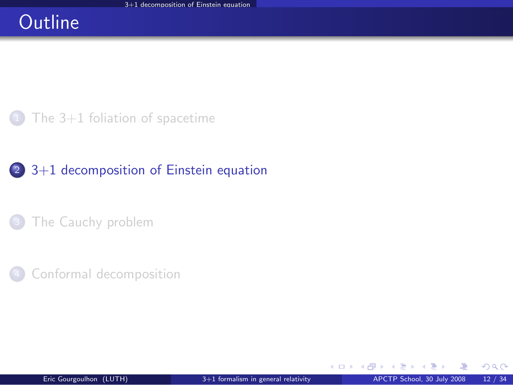#### **Outline**

The  $3+1$  foliation of spacetime

#### <sup>2</sup> [3+1 decomposition of Einstein equation](#page-21-0)

[The Cauchy problem](#page-30-0)

[Conformal decomposition](#page-36-0)

<span id="page-21-0"></span> $\Omega$ 

э

**←ロ ▶ ← イ 同 →**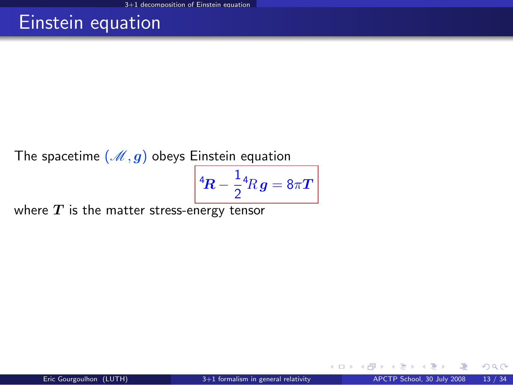#### Einstein equation

The spacetime  $(\mathcal{M}, g)$  obeys Einstein equation

$$
{}^4\!R-\frac{1}{2}{}^4\!R\,g=8\pi T\,\bigg|\,
$$

where  $T$  is the matter stress-energy tensor

**← ロ ▶ → イ 同** 

 $299$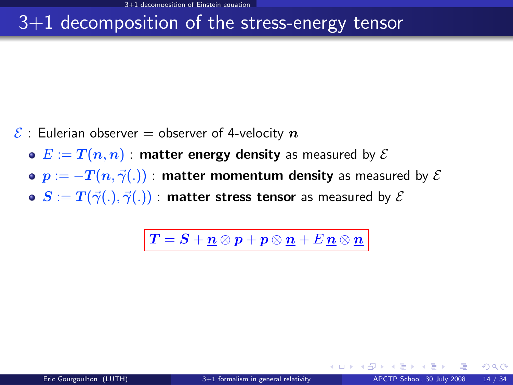#### 3+1 decomposition of the stress-energy tensor

- $\mathcal{E}$  : Eulerian observer = observer of 4-velocity  $n$ 
	- $\bullet E := T(n, n)$ : matter energy density as measured by  $\mathcal E$
	- $\bullet$   $p := -T(n, \vec{\gamma}(.))$  : matter momentum density as measured by  $\mathcal E$
	- $\bullet$   $S := T(\vec{\gamma}(.), \vec{\gamma}(.))$  : matter stress tensor as measured by  $\mathcal E$

 $\left|\,\boldsymbol{T}=\boldsymbol{S}+\boldsymbol{\mathit{n}}\otimes \boldsymbol{\mathit{p}}+\boldsymbol{\mathit{p}}\otimes \boldsymbol{\mathit{n}}+\boldsymbol{E}\,\boldsymbol{\mathit{n}}\otimes \boldsymbol{\mathit{n}}\,\right|$ 

 $\Omega$ 

**K ロ ト K 何 ト K ヨ ト**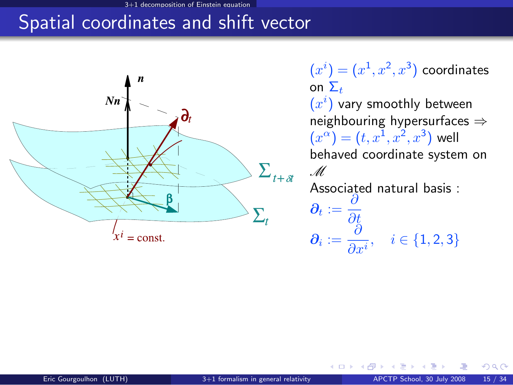#### mnosition of Einstein equati

### Spatial coordinates and shift vector



 $(x^{i})=(x^{1},x^{2},x^{3})$  coordinates on  $\Sigma_t$ 

 $(x^{i})$  vary smoothly between neighbouring hypersurfaces ⇒  $(x^{\alpha}) = (t, x^{1}, x^{2}, x^{3})$  well behaved coordinate system on M Associated natural basis :  $\boldsymbol{\partial_t} := \frac{\partial}{\partial \boldsymbol{\beta}}$ ∂t  $\boldsymbol{\partial_i} := \frac{\partial}{\partial \phi_i}$  $\overline{\frac{\partial}{\partial x^i}}, \quad i \in \{1, 2, 3\}$ 

<span id="page-24-0"></span>4 0 8 4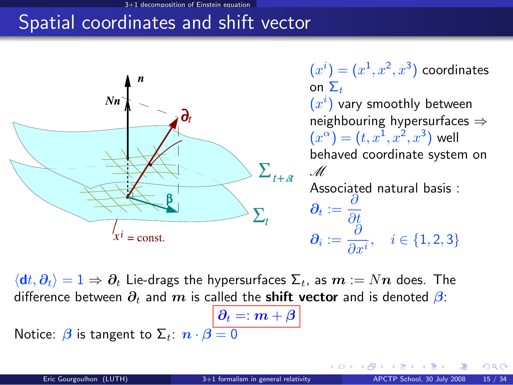#### 3+1 decomposition of Einstein equation

#### Spatial coordinates and shift vector



 $(x^{i})=(x^{1},x^{2},x^{3})$  coordinates on  $\Sigma_{\pm}$ 

 $(x^{i})$  vary smoothly between neighbouring hypersurfaces ⇒  $(x^{\alpha}) = (t, x^{1}, x^{2}, x^{3})$  well behaved coordinate system on M Associated natural basis :  $\boldsymbol{\partial_t} := \frac{\partial}{\partial \boldsymbol{\beta}}$ ∂t  $\boldsymbol{\partial_i} := \frac{\partial}{\partial \phi_i}$ 

 $\overline{\frac{\partial}{\partial x^i}}, \quad i \in \{1, 2, 3\}$ 

**←ロ ▶ ← イ 同 →** 

 $\langle dt, \partial_t \rangle = 1 \Rightarrow \partial_t$  Lie-drags the hypersurfaces  $\Sigma_t$ , as  $m := Nn$  does. The difference between  $\partial_t$  and m is called the **shift vector** and is denoted  $\beta$ :

 $\big\vert \, \pmb{\partial}_{t} =: \pmb{m} + \pmb{\beta}$ Notice:  $\beta$  is tangent to  $\Sigma_t$ :  $n \cdot \beta = 0$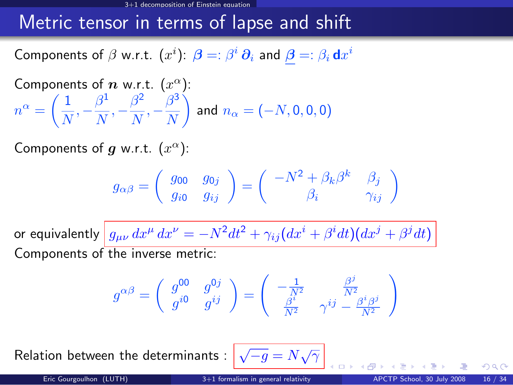#### Metric tensor in terms of lapse and shift

Components of  $\beta$  w.r.t.  $(x^i)$ :  $\bm{\beta} =: \beta^i \, \bm{\partial}_i$  and  $\bm{\beta} =: \beta_i \, \mathsf{d} x^i$ 

Components of *n* w.r.t. 
$$
(x^{\alpha})
$$
:  
\n
$$
n^{\alpha} = \left(\frac{1}{N}, -\frac{\beta^1}{N}, -\frac{\beta^2}{N}, -\frac{\beta^3}{N}\right)
$$
 and  $n_{\alpha} = (-N, 0, 0, 0)$ 

Components of  $g$  w.r.t.  $(x^{\alpha})$ :

$$
g_{\alpha\beta}=\left(\begin{array}{cc}g_{00} & g_{0j} \\ g_{i0} & g_{ij}\end{array}\right)=\left(\begin{array}{cc}-N^2+\beta_k\beta^k & \beta_j \\ \beta_i & \gamma_{ij}\end{array}\right)
$$

or equivalently  $\left| \,g_{\mu\nu}\,dx^\mu\,dx^\nu = -N^2 dt^2 + \gamma_{ij}(dx^i + \beta^i dt)(dx^j + \beta^j dt) \right.$ Components of the inverse metric:

$$
g^{\alpha\beta}=\left(\begin{array}{cc}g^{00}&g^{0j}\\g^{i0}&g^{ij}\end{array}\right)=\left(\begin{array}{cc}-\frac{1}{N^2}&\frac{\beta^j}{N^2}\\ \frac{\beta^i}{N^2}&\gamma^{ij}-\frac{\beta^i\beta^j}{N^2}\end{array}\right)
$$

Relation between the determinants :  $\boxed{\sqrt{-g}=N\sqrt{\gamma}}$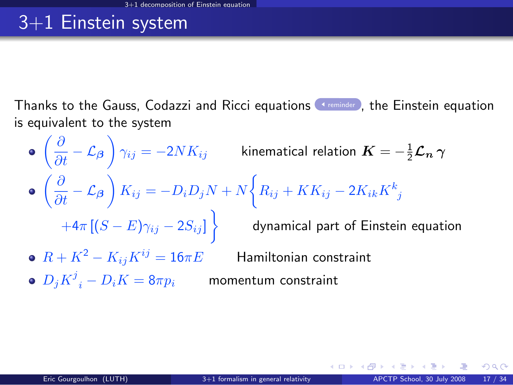## 3+1 Einstein system

Thanks to the Gauss, Codazzi and Ricci equations **Thanks to Einstein equation** is equivalent to the system

<span id="page-27-0"></span> $\left(\frac{\partial}{\partial t}-\mathcal{L}_{\boldsymbol{\beta}}\right)\gamma_{ij}=-2 N K_{ij}$  kinematical relation  $\boldsymbol{K}=-\frac{1}{2}\boldsymbol{\mathcal{L}_{n}}\,\boldsymbol{\gamma}$  $\left(\frac{\partial}{\partial t} - \mathcal{L}_{\beta}\right) K_{ij} = -D_i D_j N + N \bigg\{ R_{ij} + KK_{ij} - 2 K_{ik} K^k_{\ j} \bigg\}$  $+4\pi\left[(S-E)\gamma_{ij}-2S_{ij}\right]\bigg\} \qquad$  dynamical part of Einstein equation •  $R + K^2 - K_{ij}K^{ij} = 16\pi E$  Hamiltonian constraint  $D_j K^j\mathstrut_i - D_i K = 8\pi p_i$  momentum constraint

メロメメ 御きメモ メモ メーモ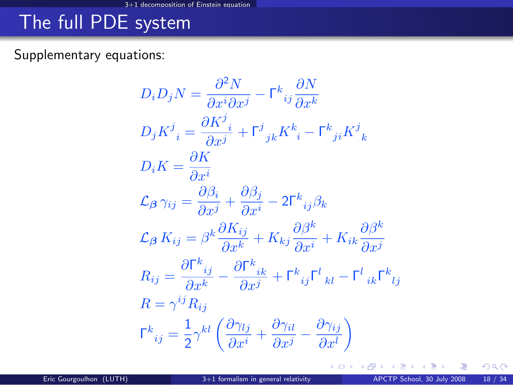# The full PDE system

#### Supplementary equations:

$$
D_i D_j N = \frac{\partial^2 N}{\partial x^i \partial x^j} - \Gamma^k_{ij} \frac{\partial N}{\partial x^k}
$$
  
\n
$$
D_j K^j_{\phantom{j}i} = \frac{\partial K^j_{\phantom{j}i}}{\partial x^j} + \Gamma^j_{\phantom{j}jk} K^k_{\phantom{k}i} - \Gamma^k_{\phantom{k}ji} K^j_{\phantom{k}k}
$$
  
\n
$$
D_i K = \frac{\partial K}{\partial x^i}
$$
  
\n
$$
\mathcal{L}_{\beta} \gamma_{ij} = \frac{\partial \beta_i}{\partial x^j} + \frac{\partial \beta_j}{\partial x^i} - 2\Gamma^k_{\phantom{k}ij} \beta_k
$$
  
\n
$$
\mathcal{L}_{\beta} K_{ij} = \beta^k \frac{\partial K_{ij}}{\partial x^k} + K_{kj} \frac{\partial \beta^k}{\partial x^i} + K_{ik} \frac{\partial \beta^k}{\partial x^j}
$$
  
\n
$$
R_{ij} = \frac{\partial \Gamma^k_{\phantom{k}ij}}{\partial x^k} - \frac{\partial \Gamma^k_{\phantom{k}ik}}{\partial x^j} + \Gamma^k_{\phantom{k}ij} \Gamma^l_{\phantom{l}kl} - \Gamma^l_{\phantom{l}ik} \Gamma^k_{\phantom{l}lj}
$$
  
\n
$$
R = \gamma^{ij} R_{ij}
$$
  
\n
$$
\Gamma^k_{\phantom{k}ij} = \frac{1}{2} \gamma^{kl} \left( \frac{\partial \gamma_{lj}}{\partial x^i} + \frac{\partial \gamma_{il}}{\partial x^j} - \frac{\partial \gamma_{ij}}{\partial x^l} \right)
$$

哇

K ロ ▶ K 御 ▶ K 경 ▶ K 경

 $299$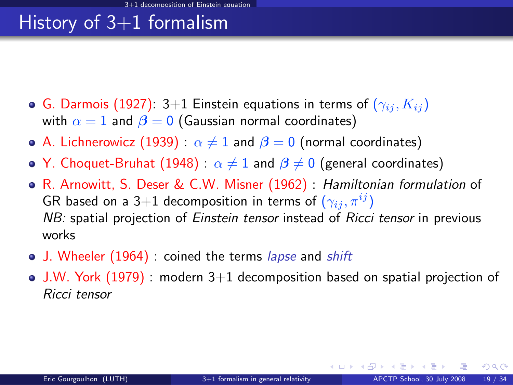# History of  $3+1$  formalism

- **G.** Darmois (1927): 3+1 Einstein equations in terms of  $(\gamma_{ij}, K_{ij})$ with  $\alpha = 1$  and  $\beta = 0$  (Gaussian normal coordinates)
- A. Lichnerowicz (1939):  $\alpha \neq 1$  and  $\beta = 0$  (normal coordinates)
- Y. Choquet-Bruhat (1948) :  $\alpha \neq 1$  and  $\beta \neq 0$  (general coordinates)
- R. Arnowitt, S. Deser & C.W. Misner (1962) : Hamiltonian formulation of GR based on a 3+1 decomposition in terms of  $(\gamma_{ii}, \pi^{ij})$ NB: spatial projection of Einstein tensor instead of Ricci tensor in previous works
- J. Wheeler (1964) : coined the terms lapse and shift
- $\bullet$  J.W. York (1979) : modern  $3+1$  decomposition based on spatial projection of Ricci tensor

 $\Omega$ 

メロト メ何 トメミト メミ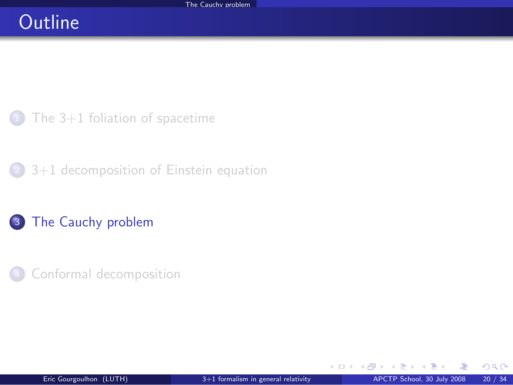### **Outline**

The  $3+1$  foliation of spacetime

<sup>2</sup> [3+1 decomposition of Einstein equation](#page-21-0)

#### 3 [The Cauchy problem](#page-30-0)

[Conformal decomposition](#page-36-0)

**←ロ ▶ ← イ 同 →** 

<span id="page-30-0"></span> $299$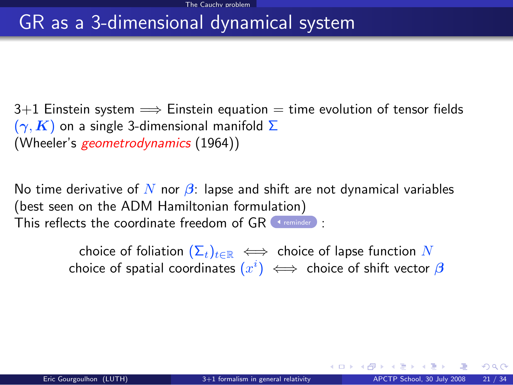#### GR as a 3-dimensional dynamical system

 $3+1$  Einstein system  $\implies$  Einstein equation  $=$  time evolution of tensor fields  $(\gamma, K)$  on a single 3-dimensional manifold  $\Sigma$ (Wheeler's geometrodynamics (1964))

No time derivative of N nor  $\beta$ : lapse and shift are not dynamical variables (best seen on the ADM Hamiltonian formulation) This reflects the coordinate freedom of  $GR$  (st[reminder](#page-24-0)):

> choice of foliation  $(\Sigma_t)_{t\in\mathbb{R}} \iff$  choice of lapse function N choice of spatial coordinates  $(x^i) \iff$  choice of shift vector  $\boldsymbol{\beta}$

**K ロ ト K 何 ト K ヨ ト K**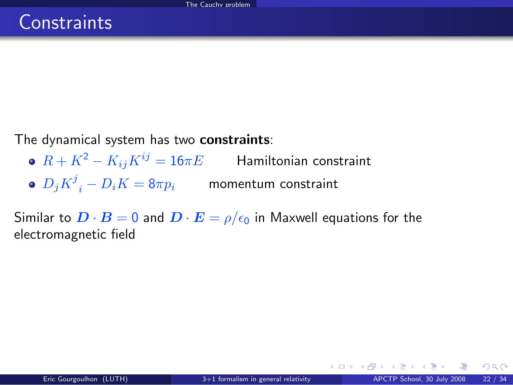The dynamical system has two constraints:

- $R + K^2 K_{ij}K^{ij} = 16\pi E$  Hamiltonian constraint
- $D_j{K^j}_i D_i K = 8\pi p_i$  momentum constraint

Similar to  $\mathbf{D} \cdot \mathbf{B} = 0$  and  $\mathbf{D} \cdot \mathbf{E} = \rho/\epsilon_0$  in Maxwell equations for the electromagnetic field

 $\Omega$ 

メロメ メ御 メメ きょくきょ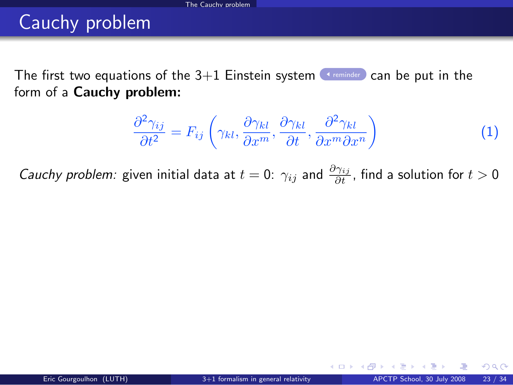# Cauchy problem

The first two equations of the  $3+1$  Einstein system [reminder](#page-27-0) can be put in the form of a Cauchy problem:

$$
\frac{\partial^2 \gamma_{ij}}{\partial t^2} = F_{ij} \left( \gamma_{kl}, \frac{\partial \gamma_{kl}}{\partial x^m}, \frac{\partial \gamma_{kl}}{\partial t}, \frac{\partial^2 \gamma_{kl}}{\partial x^m \partial x^n} \right)
$$
(1)

*Cauchy problem:* given initial data at  $t=0$ :  $\gamma_{ij}$  and  $\frac{\partial \gamma_{ij}}{\partial t}$ , find a solution for  $t>0$ 

 $\Omega$ 

<span id="page-33-0"></span>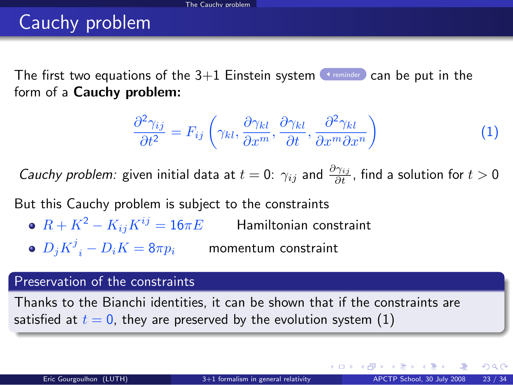# Cauchy problem

The first two equations of the  $3+1$  Einstein system [reminder](#page-27-0) can be put in the form of a Cauchy problem:

$$
\frac{\partial^2 \gamma_{ij}}{\partial t^2} = F_{ij} \left( \gamma_{kl}, \frac{\partial \gamma_{kl}}{\partial x^m}, \frac{\partial \gamma_{kl}}{\partial t}, \frac{\partial^2 \gamma_{kl}}{\partial x^m \partial x^n} \right)
$$
(1)

*Cauchy problem:* given initial data at  $t=0$ :  $\gamma_{ij}$  and  $\frac{\partial \gamma_{ij}}{\partial t}$ , find a solution for  $t>0$ 

But this Cauchy problem is subject to the constraints

- $R + K^2 K_{ij}K^{ij} = 16\pi E$  Hamiltonian constraint
- $D_j{K^j}_i D_i K = 8\pi p_i$  momentum constraint

#### Preservation of the constraints

Thanks to the Bianchi identities, it can be shown that if the constraints are satisfied at  $t = 0$ , they are preserved by the evolution system [\(1\)](#page-33-0)

 $\Omega$ 

メロメ メ都 メメ 君 メメ ヨメ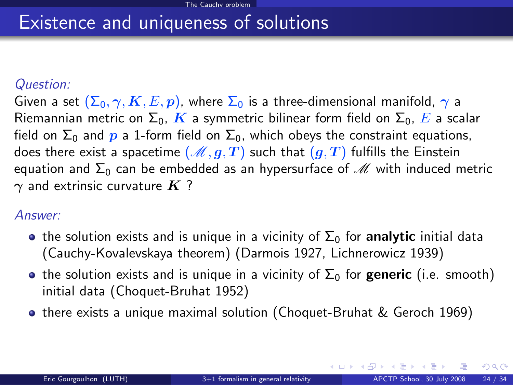#### Existence and uniqueness of solutions

#### Question:

Given a set  $(\Sigma_0, \gamma, K, E, p)$ , where  $\Sigma_0$  is a three-dimensional manifold,  $\gamma$  a Riemannian metric on  $\Sigma_0$ , K a symmetric bilinear form field on  $\Sigma_0$ , E a scalar field on  $\Sigma_0$  and p a 1-form field on  $\Sigma_0$ , which obeys the constraint equations, does there exist a spacetime  $(M, g, T)$  such that  $(g, T)$  fulfills the Einstein equation and  $\Sigma_0$  can be embedded as an hypersurface of  $\mathcal M$  with induced metric  $\gamma$  and extrinsic curvature  $K$  ?

#### Answer:

- **•** the solution exists and is unique in a vicinity of  $\Sigma_0$  for **analytic** initial data (Cauchy-Kovalevskaya theorem) (Darmois 1927, Lichnerowicz 1939)
- **•** the solution exists and is unique in a vicinity of  $\Sigma_0$  for **generic** (i.e. smooth) initial data (Choquet-Bruhat 1952)
- o there exists a unique maximal solution (Choquet-Bruhat & Geroch 1969)

 $\Omega$ 

メロト メ押 トメミト メミト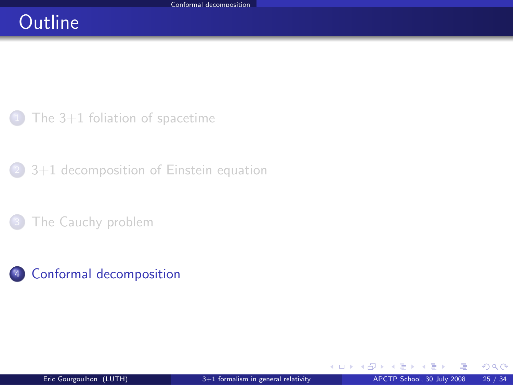### **Outline**

The  $3+1$  foliation of spacetime

<sup>2</sup> [3+1 decomposition of Einstein equation](#page-21-0)

[The Cauchy problem](#page-30-0)

#### <sup>4</sup> [Conformal decomposition](#page-36-0)

舌  $\sim$ 

**←ロ ▶ ← イ 同 →** 

<span id="page-36-0"></span> $299$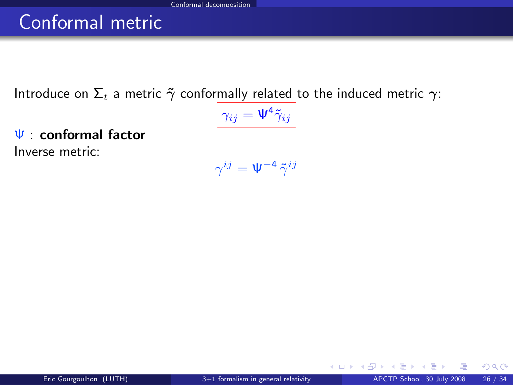### Conformal metric

Introduce on  $\Sigma_t$  a metric  $\tilde{\gamma}$  conformally related to the induced metric  $\gamma$ :

$$
\gamma_{ij}=\Psi^4\tilde{\gamma}_{ij}
$$

Ψ : conformal factor Inverse metric:

 $\gamma^{ij}=\Psi^{-4}\,\tilde{\gamma}^{ij}$ 

K ロ ▶ K 御 ▶ K 경 ▶ K 경

 $299$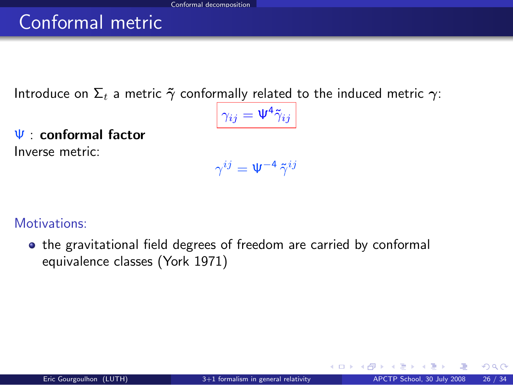# Conformal metric

Introduce on  $\Sigma_t$  a metric  $\tilde{\gamma}$  conformally related to the induced metric  $\gamma$ :

$$
\gamma_{ij}=\Psi^4\tilde{\gamma}_{ij}
$$

Ψ : conformal factor Inverse metric:

$$
\gamma^{ij}=\Psi^{-4}\,\tilde{\gamma}^{ij}
$$

Motivations:

• the gravitational field degrees of freedom are carried by conformal equivalence classes (York 1971)

 $\Omega$ 

**K ロ ト K 何 ト K ヨ ト K**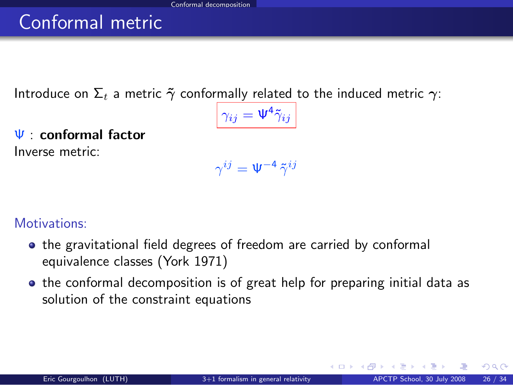# Conformal metric

Introduce on  $\Sigma_t$  a metric  $\tilde{\gamma}$  conformally related to the induced metric  $\gamma$ :

$$
\gamma_{ij}=\Psi^4\tilde{\gamma}_{ij}
$$

Ψ : conformal factor Inverse metric:

 $\gamma^{ij}=\Psi^{-4}\,\tilde{\gamma}^{ij}$ 

Motivations:

- the gravitational field degrees of freedom are carried by conformal equivalence classes (York 1971)
- the conformal decomposition is of great help for preparing initial data as solution of the constraint equations

 $\Omega$ 

イロト イ押ト イヨト イ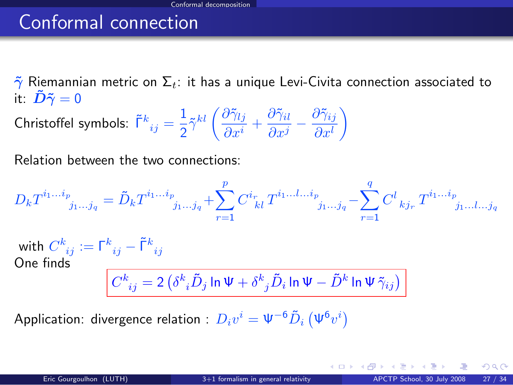## Conformal connection

 $\tilde{\gamma}$  Riemannian metric on  $\Sigma_t$ : it has a unique Levi-Civita connection associated to it:  $\tilde{\bm{D}}\tilde{\bm{\gamma}}=0$ 

Christoffel symbols:  $\tilde{\mathsf{\Gamma}}^{k}_{\ ij}=\frac{1}{2}$  $\frac{1}{2}\tilde{\gamma}^{kl} \left(\frac{\partial \tilde{\gamma}_{lj}}{\partial x^{i}}\right)$  $\frac{\partial \tilde{\gamma}_{lj}}{\partial x^{i}} + \frac{\partial \tilde{\gamma}_{il}}{\partial x^{j}}$  $\frac{\partial \tilde{\gamma}_{il}}{\partial x^j} - \frac{\partial \tilde{\gamma}_{ij}}{\partial x^l}$  $\partial x^l$ λ

Relation between the two connections:

$$
D_k T^{i_1...i_p}_{j_1...j_q} = \tilde{D}_k T^{i_1...i_p}_{j_1...j_q} + \sum_{r=1}^p C^{i_r}_{\ \ kl} T^{i_1...l...i_p}_{j_1...j_q} - \sum_{r=1}^q C^l_{\ \ kj_r} T^{i_1...i_p}_{j_1...l...j_q}
$$
  
with 
$$
C^k_{\ ij} := \Gamma^k_{\ ij} - \tilde{\Gamma}^k_{\ ij}
$$
  
One finds  

$$
C^k_{\ ij} = 2 \left( \delta^k_{\ i} \tilde{D}_j \ln \Psi + \delta^k_{\ j} \tilde{D}_i \ln \Psi - \tilde{D}^k \ln \Psi \tilde{\gamma}_{ij} \right)
$$

Application: divergence relation :  $D_i v^i = \Psi^{-6} \tilde{D}_i \left( \Psi^{6} v^i \right)$ 

**K ロ ト K 何 ト K ヨ ト K**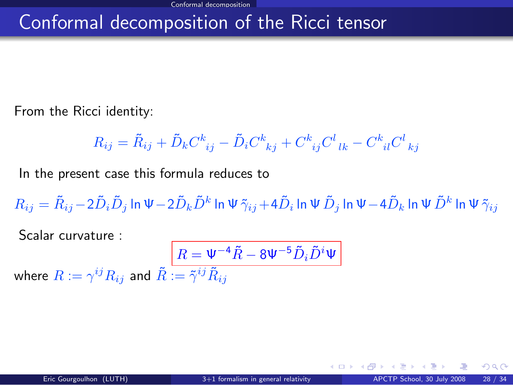## Conformal decomposition of the Ricci tensor

From the Ricci identity:

$$
R_{ij} = \tilde{R}_{ij} + \tilde{D}_k C^k_{\ \ ij} - \tilde{D}_i C^k_{\ \ kj} + C^k_{\ \ ij} C^l_{\ \ lk} - C^k_{\ \ il} C^l_{\ \ kj}
$$

In the present case this formula reduces to

 $R_{ij}=\tilde{R}_{ij}-2\tilde{D}_i\tilde{D}_j$  In  $\Psi-2\tilde{D}_k\tilde{D}^k$  In  $\Psi\,\tilde{\gamma}_{ij}+4\tilde{D}_i$  In  $\Psi\,\tilde{D}_j$  In  $\Psi-4\tilde{D}_k$  In  $\Psi\,\tilde{D}^k$  In  $\Psi\,\tilde{\gamma}_{ij}$ 

Scalar curvature :

<span id="page-41-0"></span>
$$
\boxed{R=\Psi^{-4}\tilde{R}-8\Psi^{-5}\tilde{D}_i\tilde{D}^i\Psi}
$$
 where  $R:=\gamma^{ij}R_{ij}$  and  $\tilde{R}:=\tilde{\gamma}^{ij}\tilde{R}_{ij}$ 

 $\Omega$ 

**←ロ ▶ ← イ 同 →**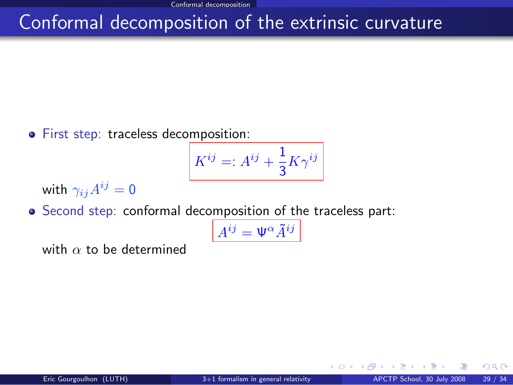## Conformal decomposition of the extrinsic curvature

**•** First step: traceless decomposition:

$$
K^{ij}=:A^{ij}+\frac{1}{3}K\gamma^{ij}
$$

with  $\gamma_{ij}A^{ij}=0$ 

Second step: conformal decomposition of the traceless part:

$$
A^{ij} = \Psi^{\alpha} \tilde{A}^{ij}
$$

with  $\alpha$  to be determined

4 0 3 4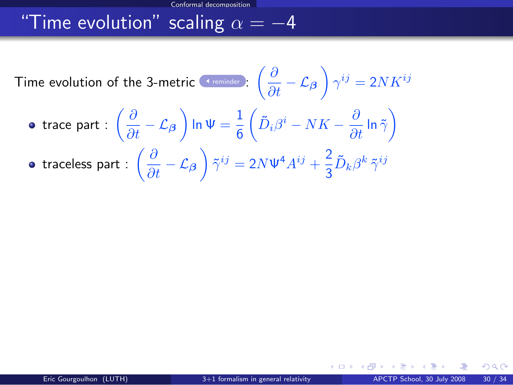## "Time evolution" scaling  $\alpha = -4$

Time evolution of the 3-metric  $\frac{c \cdot \text{remainder}}{\epsilon}$  :  $\left(\frac{\partial}{\partial t} - \mathcal{L}_{\boldsymbol{\beta}}\right) \gamma^{ij} = 2 N K^{ij}$ trace part :  $\left(\frac{\partial}{\partial t} - \mathcal{L}_{\boldsymbol{\beta}} \right)$  In  $\Psi = \frac{1}{6}$  $\left( \tilde{D}_i \beta^i - NK - \frac{\partial}{\partial t} \ln \tilde{\gamma} \right)$ traceless part :  $\left(\frac{\partial}{\partial t} - \mathcal{L}_{\boldsymbol{\beta}}\right) \tilde{\gamma}^{ij} = 2N \Psi^4 A^{ij} + \frac{2}{3}$  $\frac{\epsilon}{3} \tilde{D}_k \beta^k \, \tilde{\gamma}^{ij}$ 

 $\Omega$ 

∢ □ ▶ кฅ ▶ к ≡ ▶ к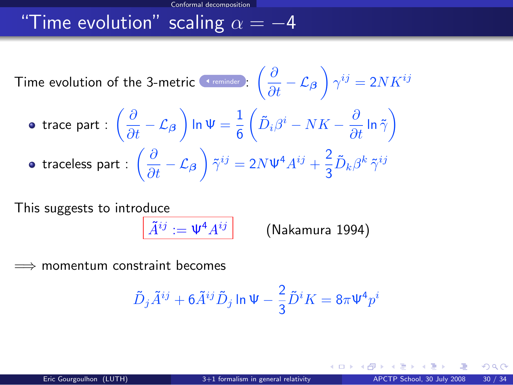## "Time evolution" scaling  $\alpha = -4$

Time evolution of the 3-metric (ferminder): 
$$
\left(\frac{\partial}{\partial t} - \mathcal{L}_{\beta}\right) \gamma^{ij} = 2NK^{ij}
$$
  
\n• trace part :  $\left(\frac{\partial}{\partial t} - \mathcal{L}_{\beta}\right) \ln \Psi = \frac{1}{6} \left(\tilde{D}_{i}\beta^{i} - NK - \frac{\partial}{\partial t} \ln \tilde{\gamma}\right)$   
\n• traceless part :  $\left(\frac{\partial}{\partial t} - \mathcal{L}_{\beta}\right) \tilde{\gamma}^{ij} = 2N\Psi^{4}A^{ij} + \frac{2}{3}\tilde{D}_{k}\beta^{k} \tilde{\gamma}^{ij}$ 

This suggests to introduce

 $\tilde{A}^{ij} := \Psi^4 A^{ij}$ 

(Nakamura 1994)

 $\implies$  momentum constraint becomes

$$
\tilde{D}_j \tilde{A}^{ij} + 6 \tilde{A}^{ij} \tilde{D}_j \ln \Psi - \frac{2}{3} \tilde{D}^i K = 8\pi \Psi^4 p^i
$$

 $\Omega$ 

メロトメ 御下 メミトメ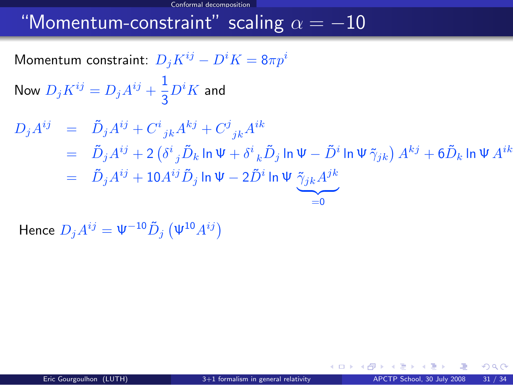#### "Momentum-constraint" scaling  $\alpha = -10$

Momentum constraint:  $D_i K^{ij} - D^i K = 8\pi p^i$ 

Now  $D_j K^{ij} = D_j A^{ij} + \frac{1}{2}$  $rac{1}{3}D^iK$  and

$$
D_j A^{ij} = \tilde{D}_j A^{ij} + C^i{}_{jk} A^{kj} + C^j{}_{jk} A^{ik}
$$
  
=  $\tilde{D}_j A^{ij} + 2 (\delta^i{}_j \tilde{D}_k \ln \Psi + \delta^i{}_k \tilde{D}_j \ln \Psi - \tilde{D}^i \ln \Psi \tilde{\gamma}_{jk}) A^{kj} + 6 \tilde{D}_k \ln \Psi A^{ik}$   
=  $\tilde{D}_j A^{ij} + 10 A^{ij} \tilde{D}_j \ln \Psi - 2 \tilde{D}^i \ln \Psi \underbrace{\tilde{\gamma}_{jk} A^{jk}}_{=0}$ 

Hence  $D_j A^{ij} = \Psi^{-10} \tilde{D}_j \left( \Psi^{10} A^{ij} \right)$ 

 $\Omega$ 

メロメ メ都 メメ ミメ メミメ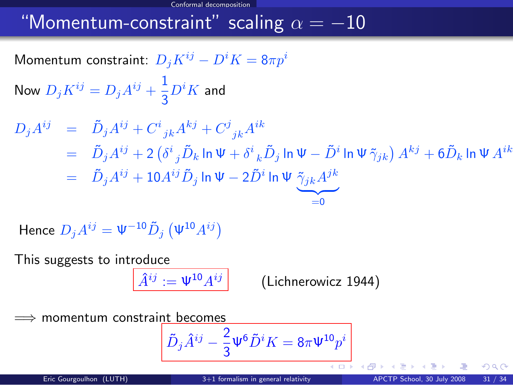### "Momentum-constraint" scaling  $\alpha = -10$

Momentum constraint:  $D_i K^{ij} - D^i K = 8\pi p^i$ 

Now  $D_j K^{ij} = D_j A^{ij} + \frac{1}{2}$  $rac{1}{3}D^iK$  and

$$
D_j A^{ij} = \tilde{D}_j A^{ij} + C^i{}_{jk} A^{kj} + C^j{}_{jk} A^{ik}
$$
  
=  $\tilde{D}_j A^{ij} + 2 (\delta^i{}_j \tilde{D}_k \ln \Psi + \delta^i{}_k \tilde{D}_j \ln \Psi - \tilde{D}^i \ln \Psi \tilde{\gamma}_{jk}) A^{kj} + 6 \tilde{D}_k \ln \Psi A^{ik}$   
=  $\tilde{D}_j A^{ij} + 10 A^{ij} \tilde{D}_j \ln \Psi - 2 \tilde{D}^i \ln \Psi \underbrace{\tilde{\gamma}_{jk} A^{jk}}_{=0}$ 

Hence  $D_j A^{ij} = \Psi^{-10} \tilde{D}_j \left( \Psi^{10} A^{ij} \right)$ 

This suggests to introduce

$$
\widehat{A}^{ij} := \Psi^{10} A^{ij} \qquad \qquad \text{(Lichnerowicz 1944)}
$$

momentum constraint becomes

$$
\tilde{D}_j\hat{A}^{ij}-\frac{2}{3}\Psi^6\tilde{D}^iK=8\pi\Psi^{10}p^i
$$

400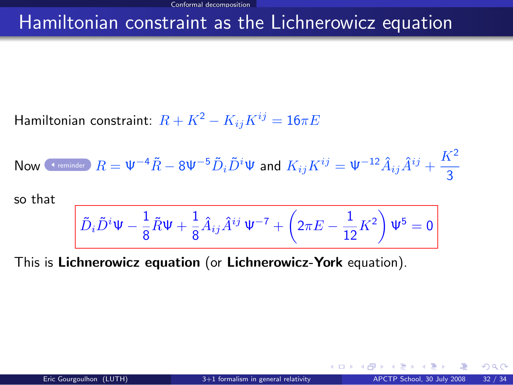#### Hamiltonian constraint as the Lichnerowicz equation

Hamiltonian constraint:  $R + K^2 - K_{ij}K^{ij} = 16\pi E$ 

Now (1.2.2) Show that 
$$
R = \Psi^{-4}\tilde{R} - 8\Psi^{-5}\tilde{D}_i\tilde{D}^i\Psi
$$
 and  $K_{ij}K^{ij} = \Psi^{-12}\hat{A}_{ij}\hat{A}^{ij} + \frac{K^2}{3}$ 

so that

$$
\tilde{D}_i\tilde{D}^i\Psi-\frac{1}{8}\tilde{R}\Psi+\frac{1}{8}\hat{A}_{ij}\hat{A}^{ij}\,\Psi^{-7}+\left(2\pi E-\frac{1}{12}K^2\right)\Psi^5=0
$$

This is Lichnerowicz equation (or Lichnerowicz-York equation).

 $\Omega$ 

**←ロ ▶ ← イ 同 →**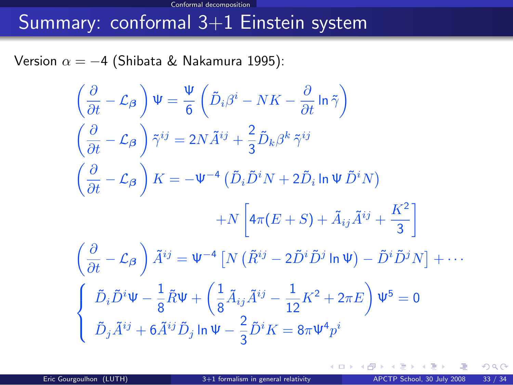#### Conformal decomposition Summary: conformal 3+1 Einstein system

Version  $\alpha = -4$  (Shibata & Nakamura 1995):

$$
\left(\frac{\partial}{\partial t} - \mathcal{L}_{\beta}\right) \Psi = \frac{\Psi}{6} \left(\tilde{D}_{i}\beta^{i} - NK - \frac{\partial}{\partial t} \ln \tilde{\gamma}\right)
$$
\n
$$
\left(\frac{\partial}{\partial t} - \mathcal{L}_{\beta}\right) \tilde{\gamma}^{ij} = 2N \tilde{A}^{ij} + \frac{2}{3} \tilde{D}_{k}\beta^{k} \tilde{\gamma}^{ij}
$$
\n
$$
\left(\frac{\partial}{\partial t} - \mathcal{L}_{\beta}\right) K = -\Psi^{-4} \left(\tilde{D}_{i}\tilde{D}^{i}N + 2\tilde{D}_{i}\ln\Psi \tilde{D}^{i}N\right)
$$
\n
$$
+ N \left[4\pi (E + S) + \tilde{A}_{ij}\tilde{A}^{ij} + \frac{K^{2}}{3}\right]
$$
\n
$$
\left(\frac{\partial}{\partial t} - \mathcal{L}_{\beta}\right) \tilde{A}^{ij} = \Psi^{-4} \left[N \left(\tilde{R}^{ij} - 2\tilde{D}^{i}\tilde{D}^{j} \ln \Psi\right) - \tilde{D}^{i}\tilde{D}^{j}N\right] + \cdots
$$
\n
$$
\left\{\begin{array}{l} \tilde{D}_{i}\tilde{D}^{i}\Psi - \frac{1}{8}\tilde{R}\Psi + \left(\frac{1}{8}\tilde{A}_{ij}\tilde{A}^{ij} - \frac{1}{12}K^{2} + 2\pi E\right)\Psi^{5} = 0\\ \tilde{D}_{j}\tilde{A}^{ij} + 6\tilde{A}^{ij}\tilde{D}_{j}\ln\Psi - \frac{2}{3}\tilde{D}^{i}K = 8\pi\Psi^{4}p^{i} \end{array}\right.
$$

メロト メ都 トメ ミトメ

 $299$